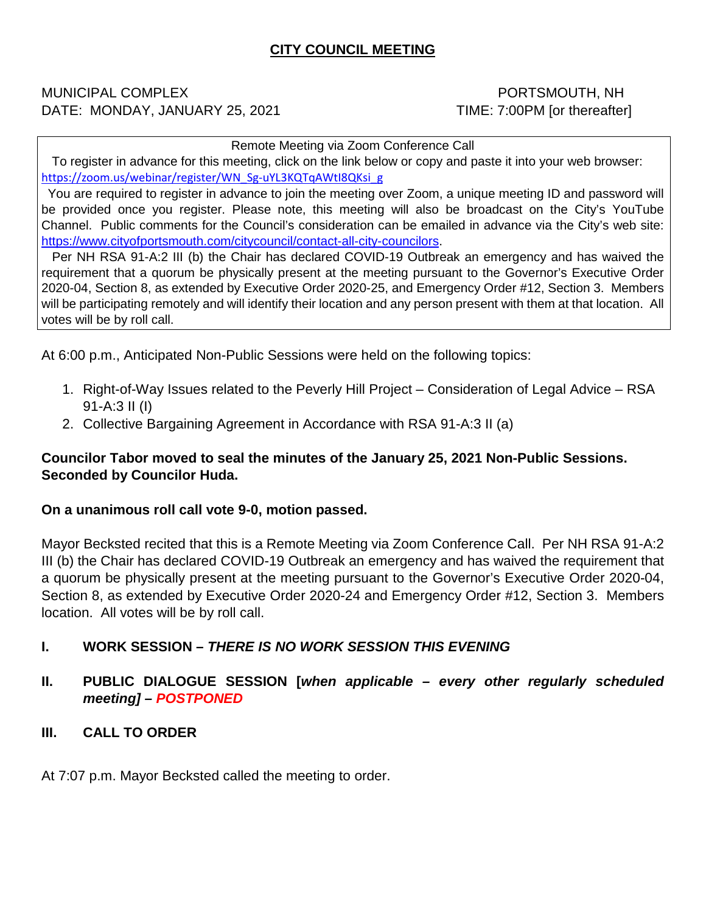# **CITY COUNCIL MEETING**

#### MUNICIPAL COMPLEX **EXECUTE:** NH DATE: MONDAY, JANUARY 25, 2021 TIME: 7:00PM [or thereafter]

Remote Meeting via Zoom Conference Call

 To register in advance for this meeting, click on the link below or copy and paste it into your web browser: [https://zoom.us/webinar/register/WN\\_Sg-uYL3KQTqAWtI8QKsi\\_g](https://zoom.us/webinar/register/WN_Sg-uYL3KQTqAWtI8QKsi_g)

 You are required to register in advance to join the meeting over Zoom, a unique meeting ID and password will be provided once you register. Please note, this meeting will also be broadcast on the City's YouTube Channel. Public comments for the Council's consideration can be emailed in advance via the City's web site: [https://www.cityofportsmouth.com/citycouncil/contact-all-city-councilors.](https://www.cityofportsmouth.com/citycouncil/contact-all-city-councilors)

 Per NH RSA 91-A:2 III (b) the Chair has declared COVID-19 Outbreak an emergency and has waived the requirement that a quorum be physically present at the meeting pursuant to the Governor's Executive Order 2020-04, Section 8, as extended by Executive Order 2020-25, and Emergency Order #12, Section 3. Members will be participating remotely and will identify their location and any person present with them at that location. All votes will be by roll call.

At 6:00 p.m., Anticipated Non-Public Sessions were held on the following topics:

- 1. Right-of-Way Issues related to the Peverly Hill Project Consideration of Legal Advice RSA 91-A:3 II (I)
- 2. Collective Bargaining Agreement in Accordance with RSA 91-A:3 II (a)

# **Councilor Tabor moved to seal the minutes of the January 25, 2021 Non-Public Sessions. Seconded by Councilor Huda.**

#### **On a unanimous roll call vote 9-0, motion passed.**

Mayor Becksted recited that this is a Remote Meeting via Zoom Conference Call. Per NH RSA 91-A:2 III (b) the Chair has declared COVID-19 Outbreak an emergency and has waived the requirement that a quorum be physically present at the meeting pursuant to the Governor's Executive Order 2020-04, Section 8, as extended by Executive Order 2020-24 and Emergency Order #12, Section 3. Members location. All votes will be by roll call.

# **I. WORK SESSION –** *THERE IS NO WORK SESSION THIS EVENING*

# **II. PUBLIC DIALOGUE SESSION [***when applicable – every other regularly scheduled meeting] – POSTPONED*

# **III. CALL TO ORDER**

At 7:07 p.m. Mayor Becksted called the meeting to order.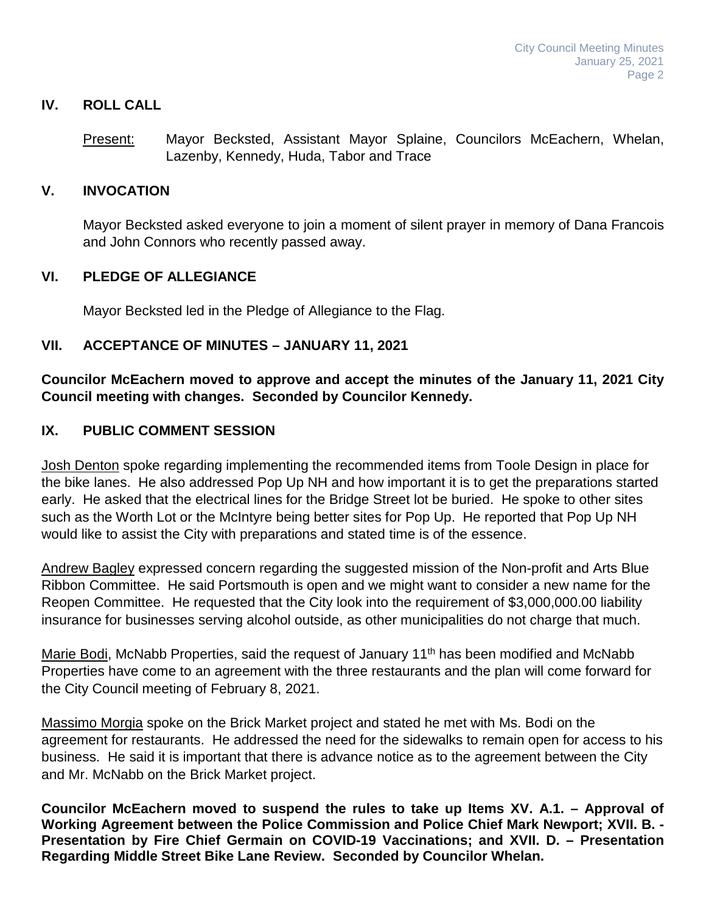# **IV. ROLL CALL**

Present: Mayor Becksted, Assistant Mayor Splaine, Councilors McEachern, Whelan, Lazenby, Kennedy, Huda, Tabor and Trace

#### **V. INVOCATION**

Mayor Becksted asked everyone to join a moment of silent prayer in memory of Dana Francois and John Connors who recently passed away.

#### **VI. PLEDGE OF ALLEGIANCE**

Mayor Becksted led in the Pledge of Allegiance to the Flag.

#### **VII. ACCEPTANCE OF MINUTES – JANUARY 11, 2021**

**Councilor McEachern moved to approve and accept the minutes of the January 11, 2021 City Council meeting with changes. Seconded by Councilor Kennedy.**

#### **IX. PUBLIC COMMENT SESSION**

Josh Denton spoke regarding implementing the recommended items from Toole Design in place for the bike lanes. He also addressed Pop Up NH and how important it is to get the preparations started early. He asked that the electrical lines for the Bridge Street lot be buried. He spoke to other sites such as the Worth Lot or the McIntyre being better sites for Pop Up. He reported that Pop Up NH would like to assist the City with preparations and stated time is of the essence.

Andrew Bagley expressed concern regarding the suggested mission of the Non-profit and Arts Blue Ribbon Committee. He said Portsmouth is open and we might want to consider a new name for the Reopen Committee. He requested that the City look into the requirement of \$3,000,000.00 liability insurance for businesses serving alcohol outside, as other municipalities do not charge that much.

Marie Bodi, McNabb Properties, said the request of January 11<sup>th</sup> has been modified and McNabb Properties have come to an agreement with the three restaurants and the plan will come forward for the City Council meeting of February 8, 2021.

Massimo Morgia spoke on the Brick Market project and stated he met with Ms. Bodi on the agreement for restaurants. He addressed the need for the sidewalks to remain open for access to his business. He said it is important that there is advance notice as to the agreement between the City and Mr. McNabb on the Brick Market project.

**Councilor McEachern moved to suspend the rules to take up Items XV. A.1. – Approval of Working Agreement between the Police Commission and Police Chief Mark Newport; XVII. B. - Presentation by Fire Chief Germain on COVID-19 Vaccinations; and XVII. D. – Presentation Regarding Middle Street Bike Lane Review. Seconded by Councilor Whelan.**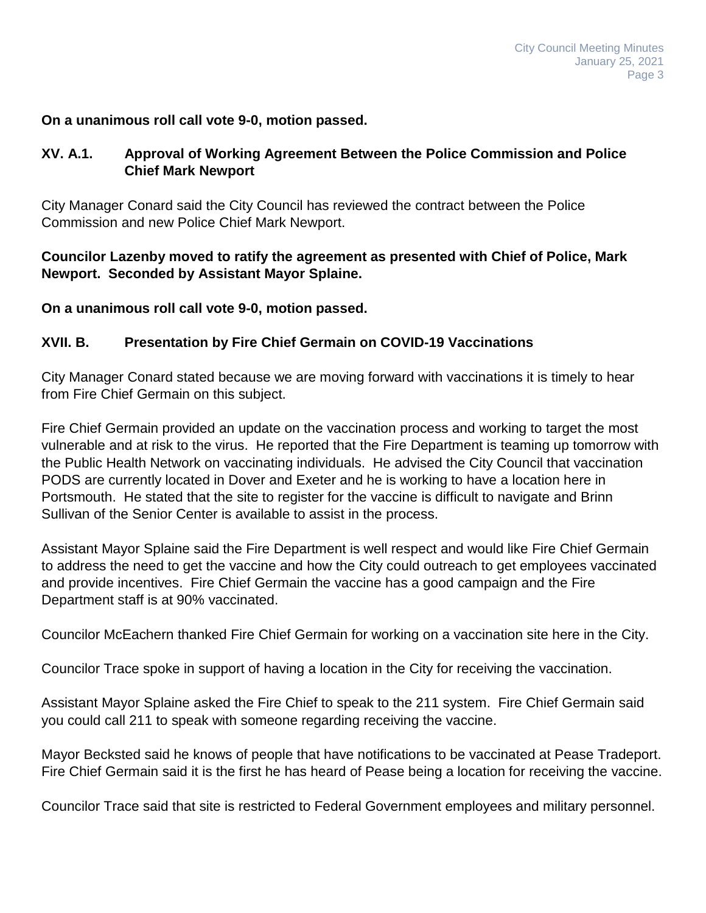#### **On a unanimous roll call vote 9-0, motion passed.**

# **XV. A.1. Approval of Working Agreement Between the Police Commission and Police Chief Mark Newport**

City Manager Conard said the City Council has reviewed the contract between the Police Commission and new Police Chief Mark Newport.

**Councilor Lazenby moved to ratify the agreement as presented with Chief of Police, Mark Newport. Seconded by Assistant Mayor Splaine.**

**On a unanimous roll call vote 9-0, motion passed.**

#### **XVII. B. Presentation by Fire Chief Germain on COVID-19 Vaccinations**

City Manager Conard stated because we are moving forward with vaccinations it is timely to hear from Fire Chief Germain on this subject.

Fire Chief Germain provided an update on the vaccination process and working to target the most vulnerable and at risk to the virus. He reported that the Fire Department is teaming up tomorrow with the Public Health Network on vaccinating individuals. He advised the City Council that vaccination PODS are currently located in Dover and Exeter and he is working to have a location here in Portsmouth. He stated that the site to register for the vaccine is difficult to navigate and Brinn Sullivan of the Senior Center is available to assist in the process.

Assistant Mayor Splaine said the Fire Department is well respect and would like Fire Chief Germain to address the need to get the vaccine and how the City could outreach to get employees vaccinated and provide incentives. Fire Chief Germain the vaccine has a good campaign and the Fire Department staff is at 90% vaccinated.

Councilor McEachern thanked Fire Chief Germain for working on a vaccination site here in the City.

Councilor Trace spoke in support of having a location in the City for receiving the vaccination.

Assistant Mayor Splaine asked the Fire Chief to speak to the 211 system. Fire Chief Germain said you could call 211 to speak with someone regarding receiving the vaccine.

Mayor Becksted said he knows of people that have notifications to be vaccinated at Pease Tradeport. Fire Chief Germain said it is the first he has heard of Pease being a location for receiving the vaccine.

Councilor Trace said that site is restricted to Federal Government employees and military personnel.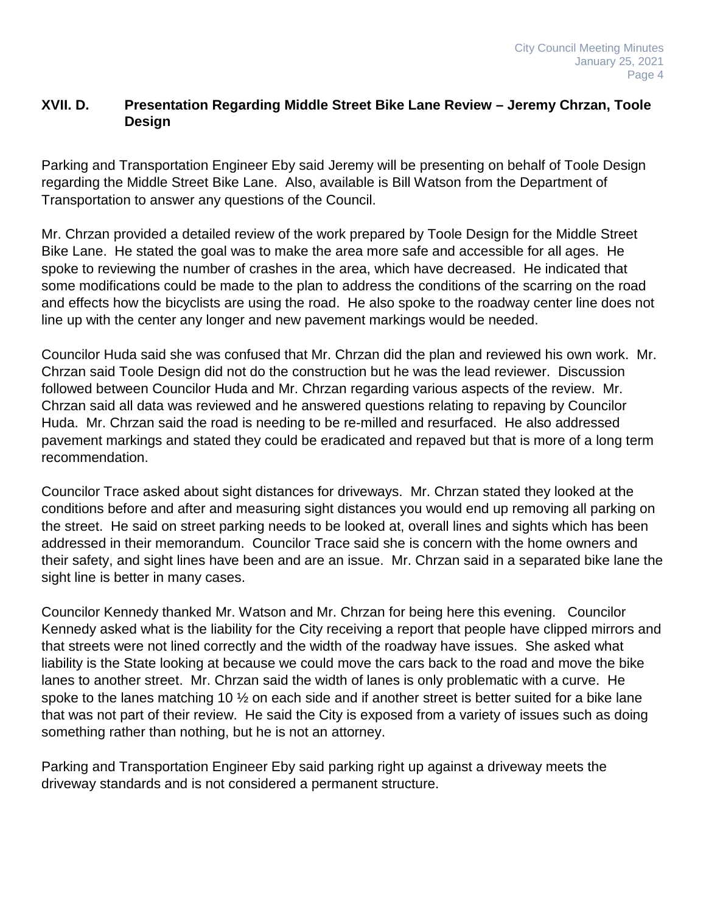# **XVII. D. Presentation Regarding Middle Street Bike Lane Review – Jeremy Chrzan, Toole Design**

Parking and Transportation Engineer Eby said Jeremy will be presenting on behalf of Toole Design regarding the Middle Street Bike Lane. Also, available is Bill Watson from the Department of Transportation to answer any questions of the Council.

Mr. Chrzan provided a detailed review of the work prepared by Toole Design for the Middle Street Bike Lane. He stated the goal was to make the area more safe and accessible for all ages. He spoke to reviewing the number of crashes in the area, which have decreased. He indicated that some modifications could be made to the plan to address the conditions of the scarring on the road and effects how the bicyclists are using the road. He also spoke to the roadway center line does not line up with the center any longer and new pavement markings would be needed.

Councilor Huda said she was confused that Mr. Chrzan did the plan and reviewed his own work. Mr. Chrzan said Toole Design did not do the construction but he was the lead reviewer. Discussion followed between Councilor Huda and Mr. Chrzan regarding various aspects of the review. Mr. Chrzan said all data was reviewed and he answered questions relating to repaving by Councilor Huda. Mr. Chrzan said the road is needing to be re-milled and resurfaced. He also addressed pavement markings and stated they could be eradicated and repaved but that is more of a long term recommendation.

Councilor Trace asked about sight distances for driveways. Mr. Chrzan stated they looked at the conditions before and after and measuring sight distances you would end up removing all parking on the street. He said on street parking needs to be looked at, overall lines and sights which has been addressed in their memorandum. Councilor Trace said she is concern with the home owners and their safety, and sight lines have been and are an issue. Mr. Chrzan said in a separated bike lane the sight line is better in many cases.

Councilor Kennedy thanked Mr. Watson and Mr. Chrzan for being here this evening. Councilor Kennedy asked what is the liability for the City receiving a report that people have clipped mirrors and that streets were not lined correctly and the width of the roadway have issues. She asked what liability is the State looking at because we could move the cars back to the road and move the bike lanes to another street. Mr. Chrzan said the width of lanes is only problematic with a curve. He spoke to the lanes matching 10  $\frac{1}{2}$  on each side and if another street is better suited for a bike lane that was not part of their review. He said the City is exposed from a variety of issues such as doing something rather than nothing, but he is not an attorney.

Parking and Transportation Engineer Eby said parking right up against a driveway meets the driveway standards and is not considered a permanent structure.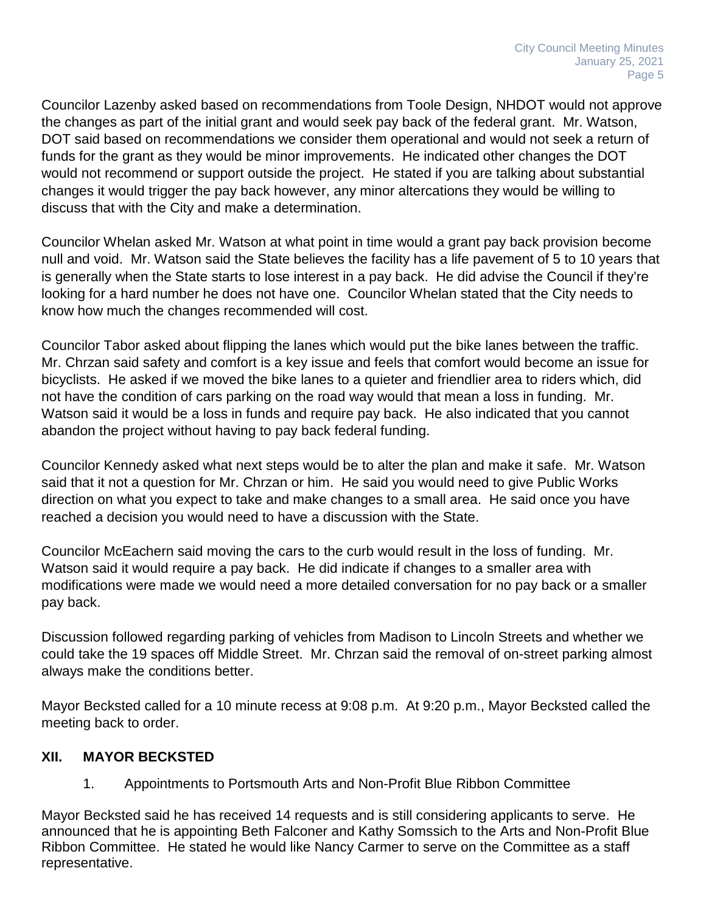Councilor Lazenby asked based on recommendations from Toole Design, NHDOT would not approve the changes as part of the initial grant and would seek pay back of the federal grant. Mr. Watson, DOT said based on recommendations we consider them operational and would not seek a return of funds for the grant as they would be minor improvements. He indicated other changes the DOT would not recommend or support outside the project. He stated if you are talking about substantial changes it would trigger the pay back however, any minor altercations they would be willing to discuss that with the City and make a determination.

Councilor Whelan asked Mr. Watson at what point in time would a grant pay back provision become null and void. Mr. Watson said the State believes the facility has a life pavement of 5 to 10 years that is generally when the State starts to lose interest in a pay back. He did advise the Council if they're looking for a hard number he does not have one. Councilor Whelan stated that the City needs to know how much the changes recommended will cost.

Councilor Tabor asked about flipping the lanes which would put the bike lanes between the traffic. Mr. Chrzan said safety and comfort is a key issue and feels that comfort would become an issue for bicyclists. He asked if we moved the bike lanes to a quieter and friendlier area to riders which, did not have the condition of cars parking on the road way would that mean a loss in funding. Mr. Watson said it would be a loss in funds and require pay back. He also indicated that you cannot abandon the project without having to pay back federal funding.

Councilor Kennedy asked what next steps would be to alter the plan and make it safe. Mr. Watson said that it not a question for Mr. Chrzan or him. He said you would need to give Public Works direction on what you expect to take and make changes to a small area. He said once you have reached a decision you would need to have a discussion with the State.

Councilor McEachern said moving the cars to the curb would result in the loss of funding. Mr. Watson said it would require a pay back. He did indicate if changes to a smaller area with modifications were made we would need a more detailed conversation for no pay back or a smaller pay back.

Discussion followed regarding parking of vehicles from Madison to Lincoln Streets and whether we could take the 19 spaces off Middle Street. Mr. Chrzan said the removal of on-street parking almost always make the conditions better.

Mayor Becksted called for a 10 minute recess at 9:08 p.m. At 9:20 p.m., Mayor Becksted called the meeting back to order.

# **XII. MAYOR BECKSTED**

1. Appointments to Portsmouth Arts and Non-Profit Blue Ribbon Committee

Mayor Becksted said he has received 14 requests and is still considering applicants to serve. He announced that he is appointing Beth Falconer and Kathy Somssich to the Arts and Non-Profit Blue Ribbon Committee. He stated he would like Nancy Carmer to serve on the Committee as a staff representative.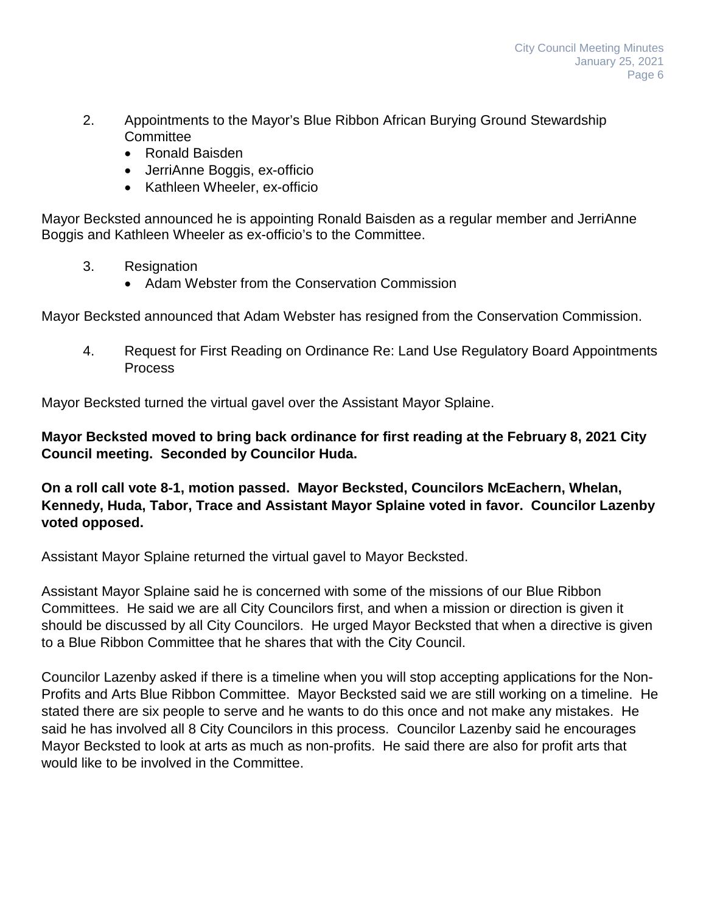- 2. Appointments to the Mayor's Blue Ribbon African Burying Ground Stewardship **Committee** 
	- Ronald Baisden
	- JerriAnne Boggis, ex-officio
	- Kathleen Wheeler, ex-officio

Mayor Becksted announced he is appointing Ronald Baisden as a regular member and JerriAnne Boggis and Kathleen Wheeler as ex-officio's to the Committee.

- 3. Resignation
	- Adam Webster from the Conservation Commission

Mayor Becksted announced that Adam Webster has resigned from the Conservation Commission.

4. Request for First Reading on Ordinance Re: Land Use Regulatory Board Appointments Process

Mayor Becksted turned the virtual gavel over the Assistant Mayor Splaine.

**Mayor Becksted moved to bring back ordinance for first reading at the February 8, 2021 City Council meeting. Seconded by Councilor Huda.**

**On a roll call vote 8-1, motion passed. Mayor Becksted, Councilors McEachern, Whelan, Kennedy, Huda, Tabor, Trace and Assistant Mayor Splaine voted in favor. Councilor Lazenby voted opposed.**

Assistant Mayor Splaine returned the virtual gavel to Mayor Becksted.

Assistant Mayor Splaine said he is concerned with some of the missions of our Blue Ribbon Committees. He said we are all City Councilors first, and when a mission or direction is given it should be discussed by all City Councilors. He urged Mayor Becksted that when a directive is given to a Blue Ribbon Committee that he shares that with the City Council.

Councilor Lazenby asked if there is a timeline when you will stop accepting applications for the Non-Profits and Arts Blue Ribbon Committee. Mayor Becksted said we are still working on a timeline. He stated there are six people to serve and he wants to do this once and not make any mistakes. He said he has involved all 8 City Councilors in this process. Councilor Lazenby said he encourages Mayor Becksted to look at arts as much as non-profits. He said there are also for profit arts that would like to be involved in the Committee.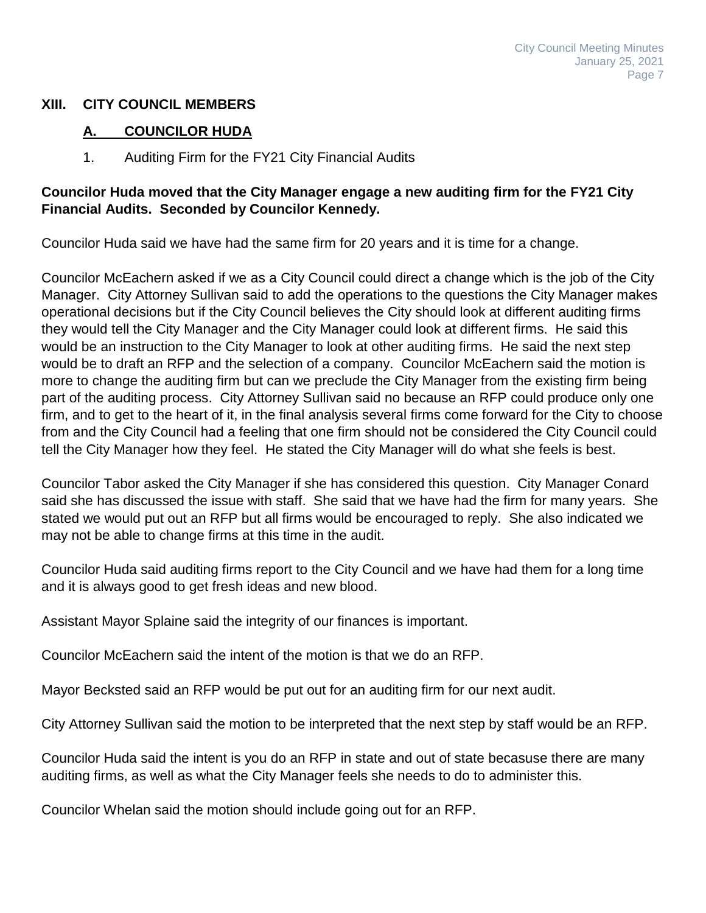# **XIII. CITY COUNCIL MEMBERS**

# **A. COUNCILOR HUDA**

1. Auditing Firm for the FY21 City Financial Audits

# **Councilor Huda moved that the City Manager engage a new auditing firm for the FY21 City Financial Audits. Seconded by Councilor Kennedy.**

Councilor Huda said we have had the same firm for 20 years and it is time for a change.

Councilor McEachern asked if we as a City Council could direct a change which is the job of the City Manager. City Attorney Sullivan said to add the operations to the questions the City Manager makes operational decisions but if the City Council believes the City should look at different auditing firms they would tell the City Manager and the City Manager could look at different firms. He said this would be an instruction to the City Manager to look at other auditing firms. He said the next step would be to draft an RFP and the selection of a company. Councilor McEachern said the motion is more to change the auditing firm but can we preclude the City Manager from the existing firm being part of the auditing process. City Attorney Sullivan said no because an RFP could produce only one firm, and to get to the heart of it, in the final analysis several firms come forward for the City to choose from and the City Council had a feeling that one firm should not be considered the City Council could tell the City Manager how they feel. He stated the City Manager will do what she feels is best.

Councilor Tabor asked the City Manager if she has considered this question. City Manager Conard said she has discussed the issue with staff. She said that we have had the firm for many years. She stated we would put out an RFP but all firms would be encouraged to reply. She also indicated we may not be able to change firms at this time in the audit.

Councilor Huda said auditing firms report to the City Council and we have had them for a long time and it is always good to get fresh ideas and new blood.

Assistant Mayor Splaine said the integrity of our finances is important.

Councilor McEachern said the intent of the motion is that we do an RFP.

Mayor Becksted said an RFP would be put out for an auditing firm for our next audit.

City Attorney Sullivan said the motion to be interpreted that the next step by staff would be an RFP.

Councilor Huda said the intent is you do an RFP in state and out of state becasuse there are many auditing firms, as well as what the City Manager feels she needs to do to administer this.

Councilor Whelan said the motion should include going out for an RFP.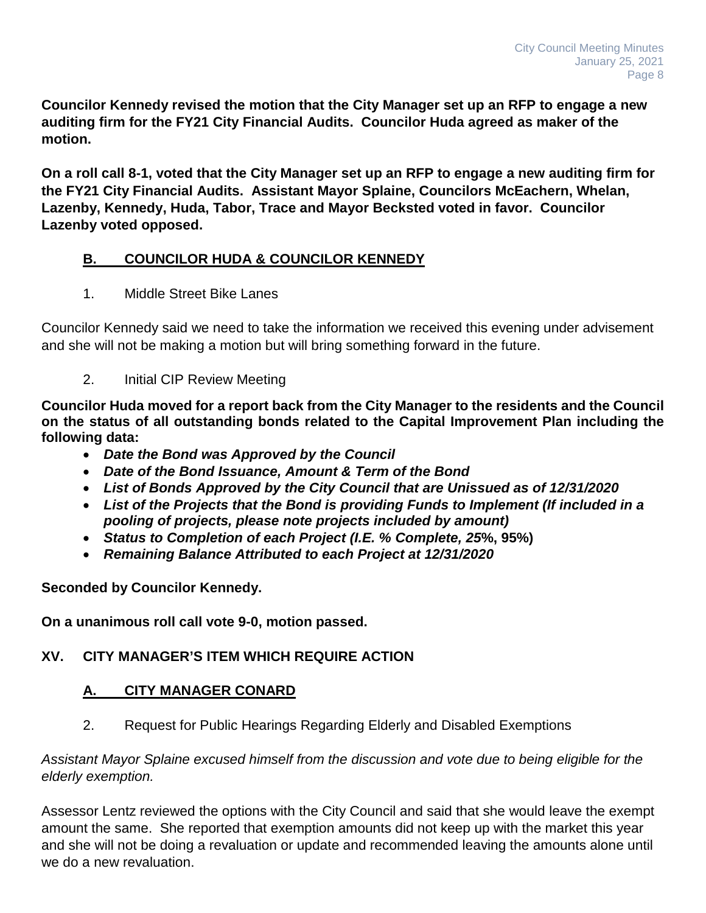**Councilor Kennedy revised the motion that the City Manager set up an RFP to engage a new auditing firm for the FY21 City Financial Audits. Councilor Huda agreed as maker of the motion.**

**On a roll call 8-1, voted that the City Manager set up an RFP to engage a new auditing firm for the FY21 City Financial Audits. Assistant Mayor Splaine, Councilors McEachern, Whelan, Lazenby, Kennedy, Huda, Tabor, Trace and Mayor Becksted voted in favor. Councilor Lazenby voted opposed.**

# **B. COUNCILOR HUDA & COUNCILOR KENNEDY**

1. Middle Street Bike Lanes

Councilor Kennedy said we need to take the information we received this evening under advisement and she will not be making a motion but will bring something forward in the future.

2. Initial CIP Review Meeting

**Councilor Huda moved for a report back from the City Manager to the residents and the Council on the status of all outstanding bonds related to the Capital Improvement Plan including the following data:**

- *Date the Bond was Approved by the Council*
- *Date of the Bond Issuance, Amount & Term of the Bond*
- *List of Bonds Approved by the City Council that are Unissued as of 12/31/2020*
- *List of the Projects that the Bond is providing Funds to Implement (If included in a pooling of projects, please note projects included by amount)*
- *Status to Completion of each Project (I.E. % Complete, 25***%, 95%)**
- *Remaining Balance Attributed to each Project at 12/31/2020*

**Seconded by Councilor Kennedy.**

**On a unanimous roll call vote 9-0, motion passed.**

# **XV. CITY MANAGER'S ITEM WHICH REQUIRE ACTION**

# **A. CITY MANAGER CONARD**

2. Request for Public Hearings Regarding Elderly and Disabled Exemptions

# *Assistant Mayor Splaine excused himself from the discussion and vote due to being eligible for the elderly exemption.*

Assessor Lentz reviewed the options with the City Council and said that she would leave the exempt amount the same. She reported that exemption amounts did not keep up with the market this year and she will not be doing a revaluation or update and recommended leaving the amounts alone until we do a new revaluation.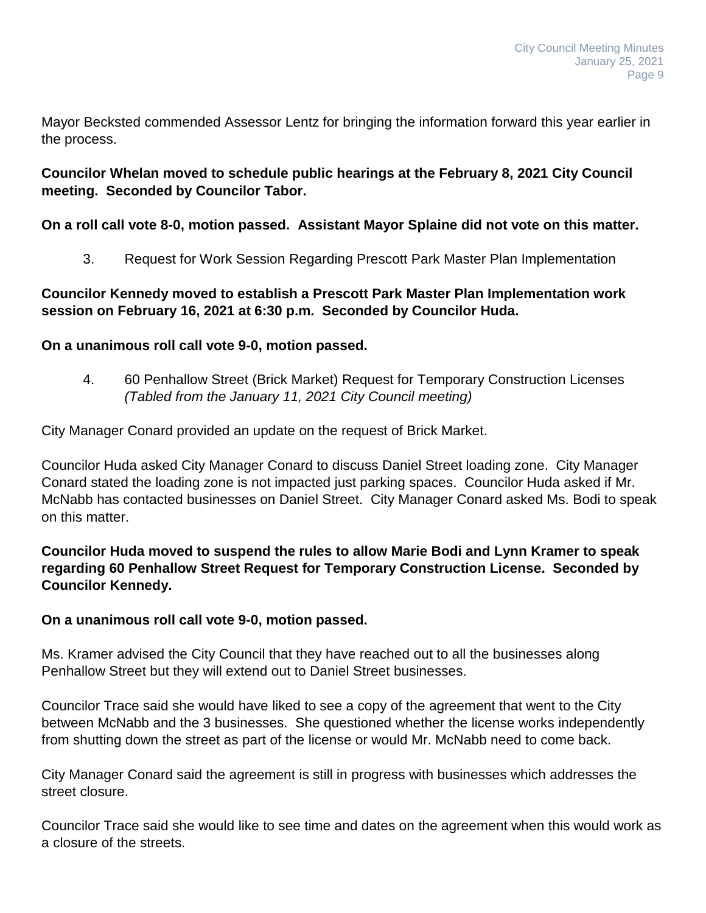Mayor Becksted commended Assessor Lentz for bringing the information forward this year earlier in the process.

# **Councilor Whelan moved to schedule public hearings at the February 8, 2021 City Council meeting. Seconded by Councilor Tabor.**

# **On a roll call vote 8-0, motion passed. Assistant Mayor Splaine did not vote on this matter.**

3. Request for Work Session Regarding Prescott Park Master Plan Implementation

# **Councilor Kennedy moved to establish a Prescott Park Master Plan Implementation work session on February 16, 2021 at 6:30 p.m. Seconded by Councilor Huda.**

# **On a unanimous roll call vote 9-0, motion passed.**

4. 60 Penhallow Street (Brick Market) Request for Temporary Construction Licenses *(Tabled from the January 11, 2021 City Council meeting)*

City Manager Conard provided an update on the request of Brick Market.

Councilor Huda asked City Manager Conard to discuss Daniel Street loading zone. City Manager Conard stated the loading zone is not impacted just parking spaces. Councilor Huda asked if Mr. McNabb has contacted businesses on Daniel Street. City Manager Conard asked Ms. Bodi to speak on this matter.

# **Councilor Huda moved to suspend the rules to allow Marie Bodi and Lynn Kramer to speak regarding 60 Penhallow Street Request for Temporary Construction License. Seconded by Councilor Kennedy.**

#### **On a unanimous roll call vote 9-0, motion passed.**

Ms. Kramer advised the City Council that they have reached out to all the businesses along Penhallow Street but they will extend out to Daniel Street businesses.

Councilor Trace said she would have liked to see a copy of the agreement that went to the City between McNabb and the 3 businesses. She questioned whether the license works independently from shutting down the street as part of the license or would Mr. McNabb need to come back.

City Manager Conard said the agreement is still in progress with businesses which addresses the street closure.

Councilor Trace said she would like to see time and dates on the agreement when this would work as a closure of the streets.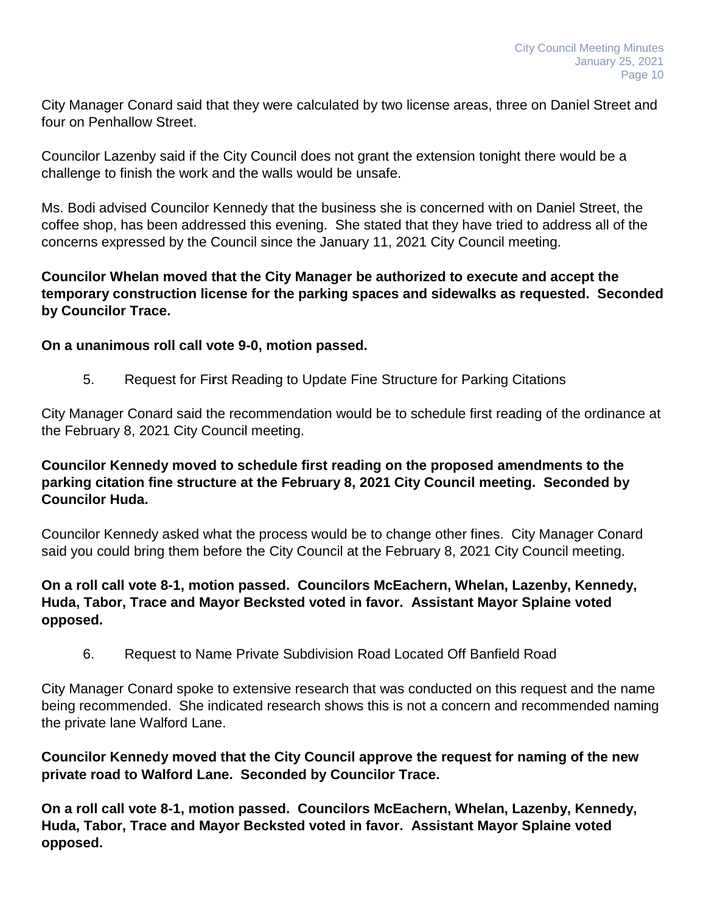City Manager Conard said that they were calculated by two license areas, three on Daniel Street and four on Penhallow Street.

Councilor Lazenby said if the City Council does not grant the extension tonight there would be a challenge to finish the work and the walls would be unsafe.

Ms. Bodi advised Councilor Kennedy that the business she is concerned with on Daniel Street, the coffee shop, has been addressed this evening. She stated that they have tried to address all of the concerns expressed by the Council since the January 11, 2021 City Council meeting.

# **Councilor Whelan moved that the City Manager be authorized to execute and accept the temporary construction license for the parking spaces and sidewalks as requested. Seconded by Councilor Trace.**

# **On a unanimous roll call vote 9-0, motion passed.**

5. Request for Fi**r**st Reading to Update Fine Structure for Parking Citations

City Manager Conard said the recommendation would be to schedule first reading of the ordinance at the February 8, 2021 City Council meeting.

# **Councilor Kennedy moved to schedule first reading on the proposed amendments to the parking citation fine structure at the February 8, 2021 City Council meeting. Seconded by Councilor Huda.**

Councilor Kennedy asked what the process would be to change other fines. City Manager Conard said you could bring them before the City Council at the February 8, 2021 City Council meeting.

#### **On a roll call vote 8-1, motion passed. Councilors McEachern, Whelan, Lazenby, Kennedy, Huda, Tabor, Trace and Mayor Becksted voted in favor. Assistant Mayor Splaine voted opposed.**

6. Request to Name Private Subdivision Road Located Off Banfield Road

City Manager Conard spoke to extensive research that was conducted on this request and the name being recommended. She indicated research shows this is not a concern and recommended naming the private lane Walford Lane.

**Councilor Kennedy moved that the City Council approve the request for naming of the new private road to Walford Lane. Seconded by Councilor Trace.**

**On a roll call vote 8-1, motion passed. Councilors McEachern, Whelan, Lazenby, Kennedy, Huda, Tabor, Trace and Mayor Becksted voted in favor. Assistant Mayor Splaine voted opposed.**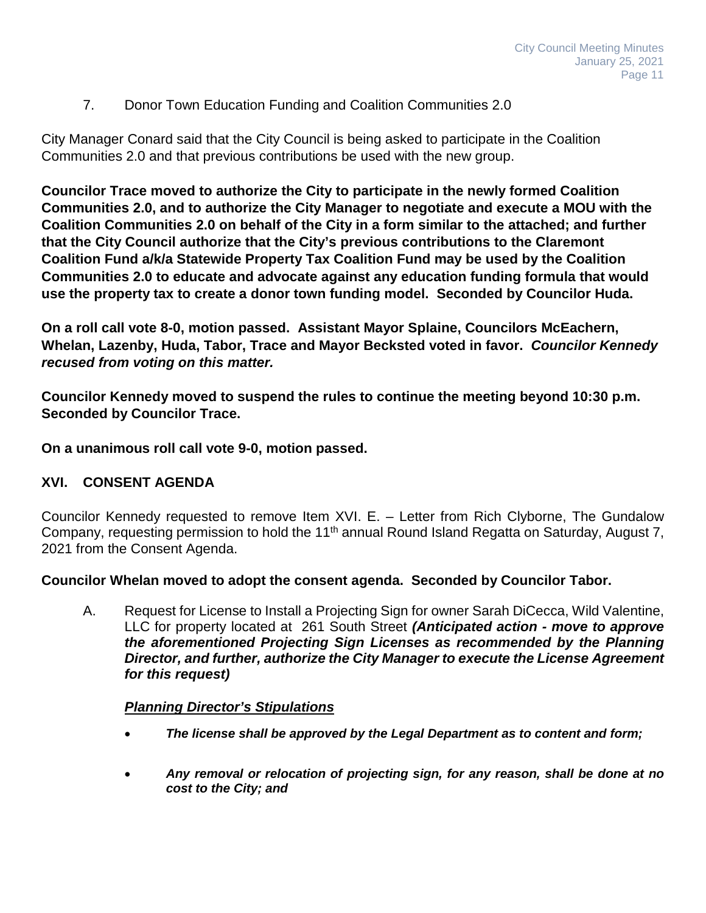# 7. Donor Town Education Funding and Coalition Communities 2.0

City Manager Conard said that the City Council is being asked to participate in the Coalition Communities 2.0 and that previous contributions be used with the new group.

**Councilor Trace moved to authorize the City to participate in the newly formed Coalition Communities 2.0, and to authorize the City Manager to negotiate and execute a MOU with the Coalition Communities 2.0 on behalf of the City in a form similar to the attached; and further that the City Council authorize that the City's previous contributions to the Claremont Coalition Fund a/k/a Statewide Property Tax Coalition Fund may be used by the Coalition Communities 2.0 to educate and advocate against any education funding formula that would use the property tax to create a donor town funding model. Seconded by Councilor Huda.**

**On a roll call vote 8-0, motion passed. Assistant Mayor Splaine, Councilors McEachern, Whelan, Lazenby, Huda, Tabor, Trace and Mayor Becksted voted in favor.** *Councilor Kennedy recused from voting on this matter.*

**Councilor Kennedy moved to suspend the rules to continue the meeting beyond 10:30 p.m. Seconded by Councilor Trace.**

**On a unanimous roll call vote 9-0, motion passed.**

# **XVI. CONSENT AGENDA**

Councilor Kennedy requested to remove Item XVI. E. – Letter from Rich Clyborne, The Gundalow Company, requesting permission to hold the 11<sup>th</sup> annual Round Island Regatta on Saturday, August 7, 2021 from the Consent Agenda.

#### **Councilor Whelan moved to adopt the consent agenda. Seconded by Councilor Tabor.**

A. Request for License to Install a Projecting Sign for owner Sarah DiCecca, Wild Valentine, LLC for property located at 261 South Street *(Anticipated action - move to approve the aforementioned Projecting Sign Licenses as recommended by the Planning Director, and further, authorize the City Manager to execute the License Agreement for this request)*

#### *Planning Director's Stipulations*

- *The license shall be approved by the Legal Department as to content and form;*
- *Any removal or relocation of projecting sign, for any reason, shall be done at no cost to the City; and*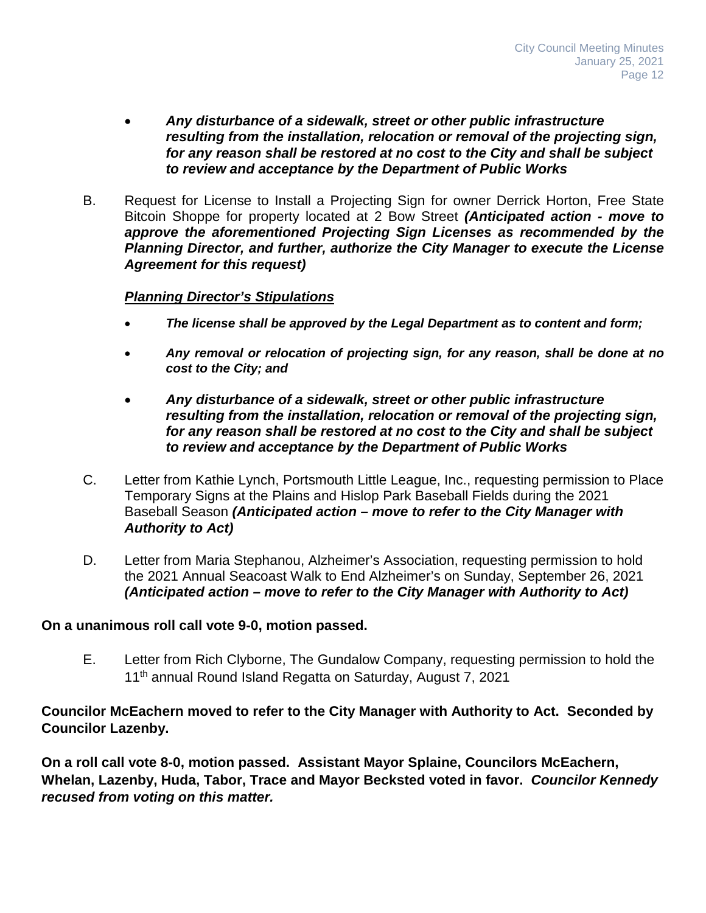- *Any disturbance of a sidewalk, street or other public infrastructure resulting from the installation, relocation or removal of the projecting sign, for any reason shall be restored at no cost to the City and shall be subject to review and acceptance by the Department of Public Works*
- B. Request for License to Install a Projecting Sign for owner Derrick Horton, Free State Bitcoin Shoppe for property located at 2 Bow Street *(Anticipated action - move to approve the aforementioned Projecting Sign Licenses as recommended by the Planning Director, and further, authorize the City Manager to execute the License Agreement for this request)*

#### *Planning Director's Stipulations*

- *The license shall be approved by the Legal Department as to content and form;*
- *Any removal or relocation of projecting sign, for any reason, shall be done at no cost to the City; and*
- *Any disturbance of a sidewalk, street or other public infrastructure resulting from the installation, relocation or removal of the projecting sign, for any reason shall be restored at no cost to the City and shall be subject to review and acceptance by the Department of Public Works*
- C. Letter from Kathie Lynch, Portsmouth Little League, Inc., requesting permission to Place Temporary Signs at the Plains and Hislop Park Baseball Fields during the 2021 Baseball Season *(Anticipated action – move to refer to the City Manager with Authority to Act)*
- D. Letter from Maria Stephanou, Alzheimer's Association, requesting permission to hold the 2021 Annual Seacoast Walk to End Alzheimer's on Sunday, September 26, 2021 *(Anticipated action – move to refer to the City Manager with Authority to Act)*

#### **On a unanimous roll call vote 9-0, motion passed.**

E. Letter from Rich Clyborne, The Gundalow Company, requesting permission to hold the 11<sup>th</sup> annual Round Island Regatta on Saturday, August 7, 2021

# **Councilor McEachern moved to refer to the City Manager with Authority to Act. Seconded by Councilor Lazenby.**

**On a roll call vote 8-0, motion passed. Assistant Mayor Splaine, Councilors McEachern, Whelan, Lazenby, Huda, Tabor, Trace and Mayor Becksted voted in favor.** *Councilor Kennedy recused from voting on this matter.*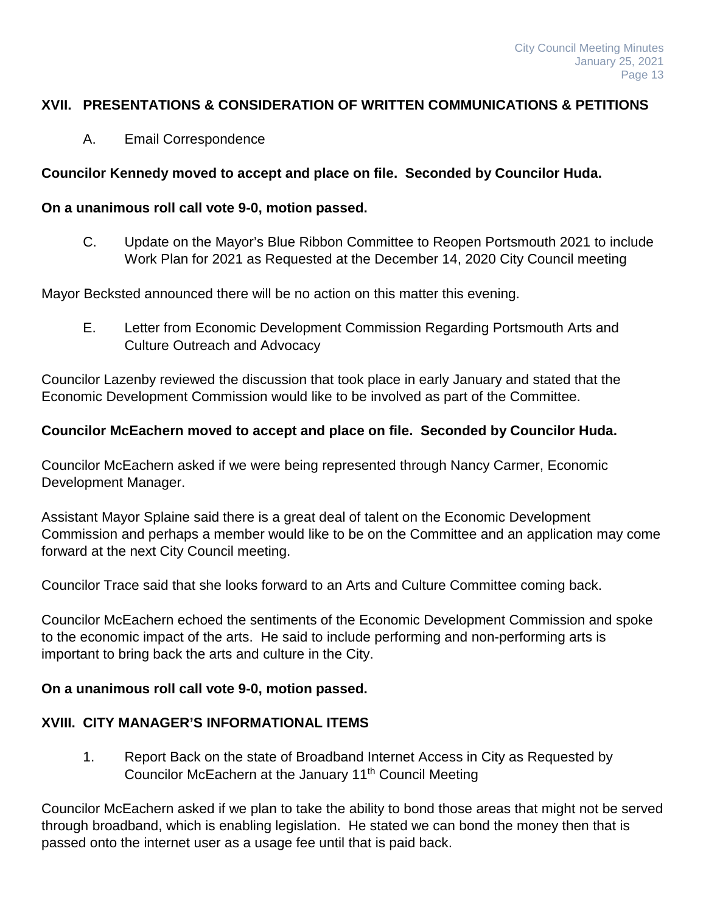# **XVII. PRESENTATIONS & CONSIDERATION OF WRITTEN COMMUNICATIONS & PETITIONS**

A. Email Correspondence

# **Councilor Kennedy moved to accept and place on file. Seconded by Councilor Huda.**

#### **On a unanimous roll call vote 9-0, motion passed.**

C. Update on the Mayor's Blue Ribbon Committee to Reopen Portsmouth 2021 to include Work Plan for 2021 as Requested at the December 14, 2020 City Council meeting

Mayor Becksted announced there will be no action on this matter this evening.

E. Letter from Economic Development Commission Regarding Portsmouth Arts and Culture Outreach and Advocacy

Councilor Lazenby reviewed the discussion that took place in early January and stated that the Economic Development Commission would like to be involved as part of the Committee.

#### **Councilor McEachern moved to accept and place on file. Seconded by Councilor Huda.**

Councilor McEachern asked if we were being represented through Nancy Carmer, Economic Development Manager.

Assistant Mayor Splaine said there is a great deal of talent on the Economic Development Commission and perhaps a member would like to be on the Committee and an application may come forward at the next City Council meeting.

Councilor Trace said that she looks forward to an Arts and Culture Committee coming back.

Councilor McEachern echoed the sentiments of the Economic Development Commission and spoke to the economic impact of the arts. He said to include performing and non-performing arts is important to bring back the arts and culture in the City.

#### **On a unanimous roll call vote 9-0, motion passed.**

# **XVIII. CITY MANAGER'S INFORMATIONAL ITEMS**

1. Report Back on the state of Broadband Internet Access in City as Requested by Councilor McEachern at the January 11<sup>th</sup> Council Meeting

Councilor McEachern asked if we plan to take the ability to bond those areas that might not be served through broadband, which is enabling legislation. He stated we can bond the money then that is passed onto the internet user as a usage fee until that is paid back.